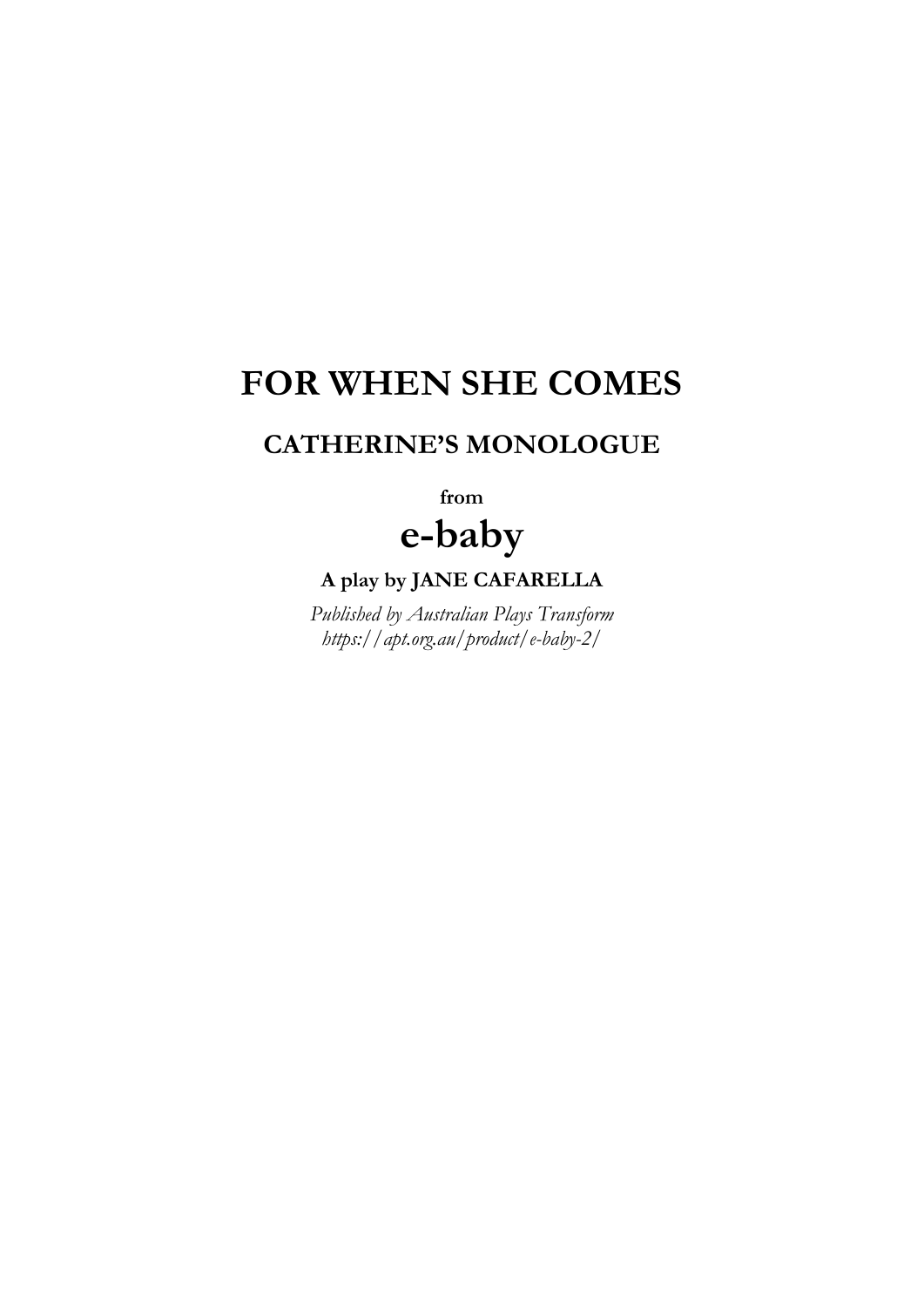# **FOR WHEN SHE COMES**

## **CATHERINE'S MONOLOGUE**

**from e-baby**

**A play by JANE CAFARELLA**

*Published by Australian Plays Transform https://apt.org.au/product/e-baby-2/*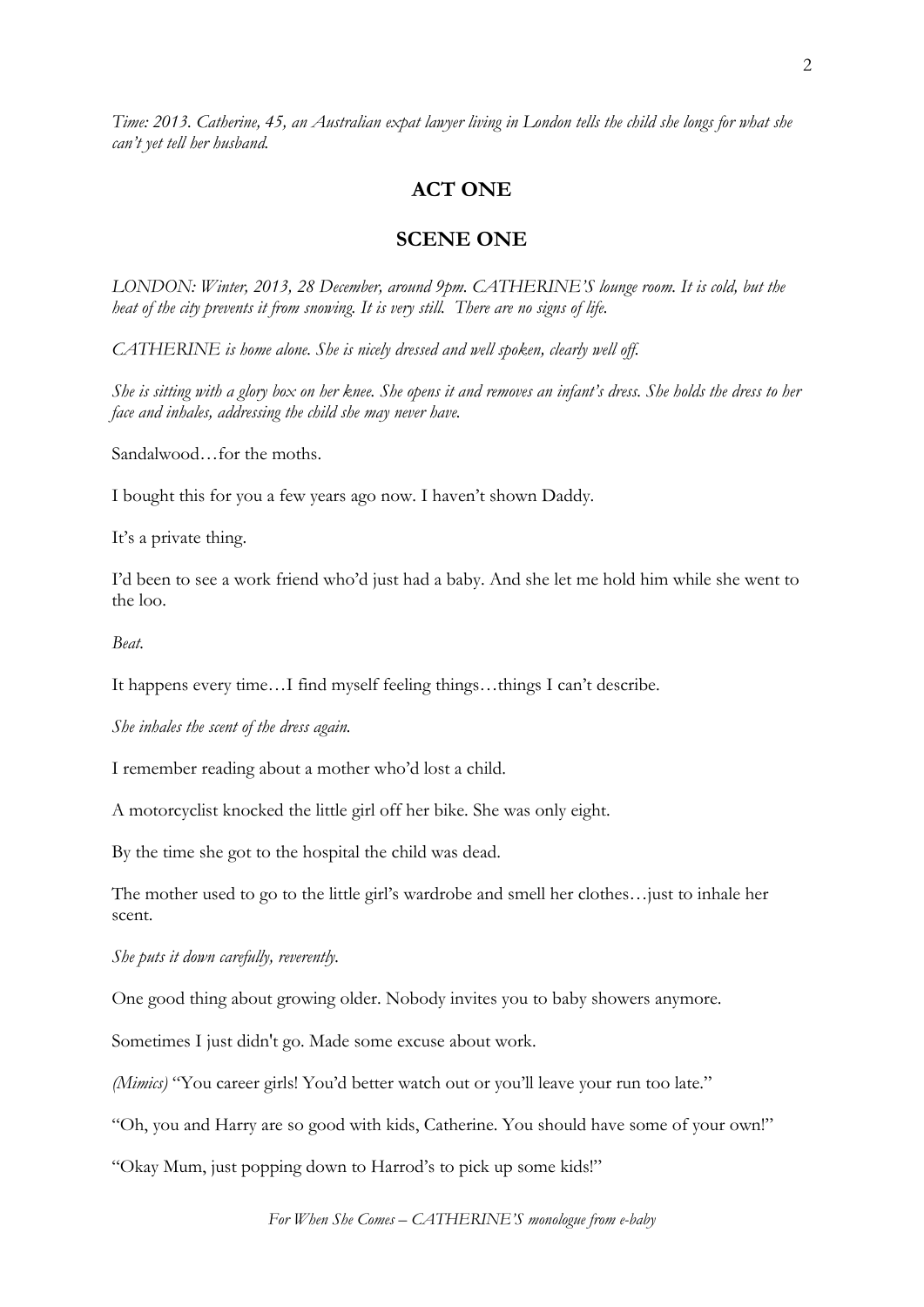*Time: 2013. Catherine, 45, an Australian expat lawyer living in London tells the child she longs for what she can't yet tell her husband.*

### **ACT ONE**

#### **SCENE ONE**

*LONDON: Winter, 2013, 28 December, around 9pm. CATHERINE'S lounge room. It is cold, but the heat of the city prevents it from snowing. It is very still. There are no signs of life.* 

*CATHERINE is home alone. She is nicely dressed and well spoken, clearly well off.* 

*She is sitting with a glory box on her knee. She opens it and removes an infant's dress. She holds the dress to her face and inhales, addressing the child she may never have.*

Sandalwood…for the moths.

I bought this for you a few years ago now. I haven't shown Daddy.

It's a private thing.

I'd been to see a work friend who'd just had a baby. And she let me hold him while she went to the loo.

*Beat.*

It happens every time…I find myself feeling things…things I can't describe.

*She inhales the scent of the dress again.*

I remember reading about a mother who'd lost a child.

A motorcyclist knocked the little girl off her bike. She was only eight.

By the time she got to the hospital the child was dead.

The mother used to go to the little girl's wardrobe and smell her clothes…just to inhale her scent.

*She puts it down carefully, reverently.*

One good thing about growing older. Nobody invites you to baby showers anymore.

Sometimes I just didn't go. Made some excuse about work.

*(Mimics)* "You career girls! You'd better watch out or you'll leave your run too late."

"Oh, you and Harry are so good with kids, Catherine. You should have some of your own!"

"Okay Mum, just popping down to Harrod's to pick up some kids!"